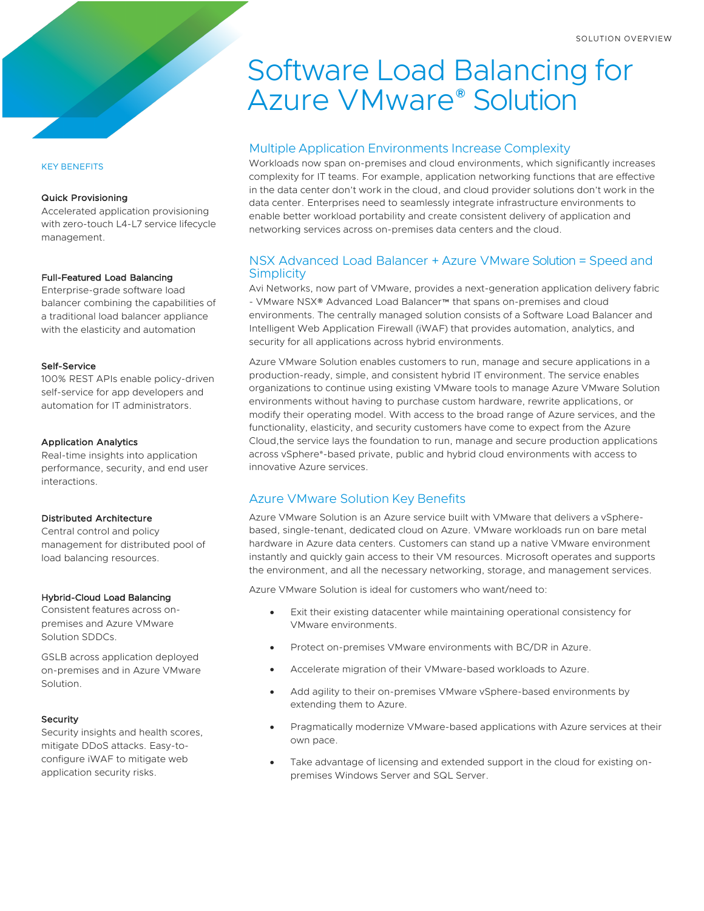# Software Load Balancing for Azure VMware® Solution

## Multiple Application Environments Increase Complexity

Workloads now span on-premises and cloud environments, which significantly increases complexity for IT teams. For example, application networking functions that are effective in the data center don't work in the cloud, and cloud provider solutions don't work in the data center. Enterprises need to seamlessly integrate infrastructure environments to enable better workload portability and create consistent delivery of application and networking services across on-premises data centers and the cloud.

## NSX Advanced Load Balancer + Azure VMware Solution = Speed and **Simplicity**

Avi Networks, now part of VMware, provides a next-generation application delivery fabric - VMware NSX® Advanced Load Balancer™ that spans on-premises and cloud environments. The centrally managed solution consists of a Software Load Balancer and Intelligent Web Application Firewall (iWAF) that provides automation, analytics, and security for all applications across hybrid environments.

Azure VMware Solution enables customers to run, manage and secure applications in a production-ready, simple, and consistent hybrid IT environment. The service enables organizations to continue using existing VMware tools to manage Azure VMware Solution environments without having to purchase custom hardware, rewrite applications, or modify their operating model. With access to the broad range of Azure services, and the functionality, elasticity, and security customers have come to expect from the Azure Cloud,the service lays the foundation to run, manage and secure production applications across vSphere®-based private, public and hybrid cloud environments with access to innovative Azure services.

# Azure VMware Solution Key Benefits

Azure VMware Solution is an Azure service built with VMware that delivers a vSpherebased, single-tenant, dedicated cloud on Azure. VMware workloads run on bare metal hardware in Azure data centers. Customers can stand up a native VMware environment instantly and quickly gain access to their VM resources. Microsoft operates and supports the environment, and all the necessary networking, storage, and management services.

Azure VMware Solution is ideal for customers who want/need to:

- Exit their existing datacenter while maintaining operational consistency for VMware environments.
- Protect on-premises VMware environments with BC/DR in Azure.
- Accelerate migration of their VMware-based workloads to Azure.
- Add agility to their on-premises VMware vSphere-based environments by extending them to Azure.
- Pragmatically modernize VMware-based applications with Azure services at their own pace.
- Take advantage of licensing and extended support in the cloud for existing onpremises Windows Server and SQL Server.

#### KEY BENEFITS

#### Quick Provisioning

Accelerated application provisioning with zero-touch L4-L7 service lifecycle management.

#### Full-Featured Load Balancing

Enterprise-grade software load balancer combining the capabilities of a traditional load balancer appliance with the elasticity and automation

#### Self-Service

100% REST APIs enable policy-driven self-service for app developers and automation for IT administrators.

#### Application Analytics

Real-time insights into application performance, security, and end user interactions.

#### Distributed Architecture

Central control and policy management for distributed pool of load balancing resources.

#### Hybrid-Cloud Load Balancing

Consistent features across onpremises and Azure VMware Solution SDDCs.

GSLB across application deployed on-premises and in Azure VMware Solution.

#### Security

Security insights and health scores, mitigate DDoS attacks. Easy-toconfigure iWAF to mitigate web application security risks.